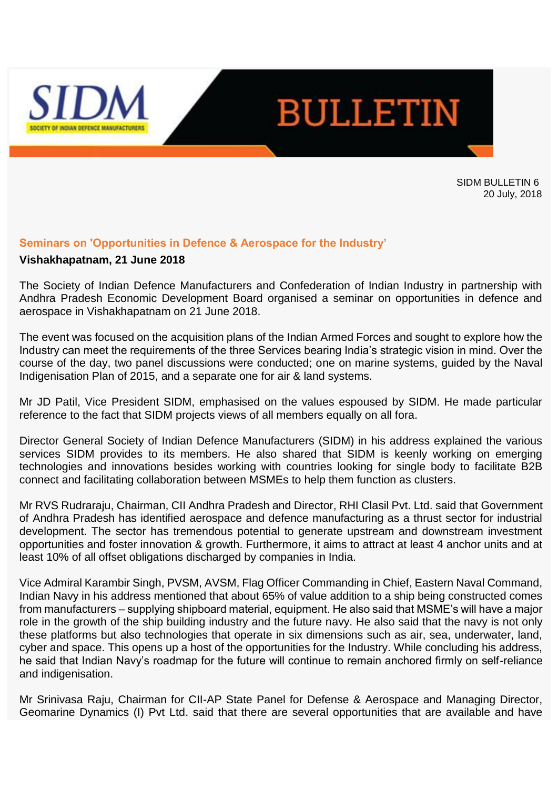



SIDM BULLETIN 6 20 July, 2018

### **Seminars on 'Opportunities in Defence & Aerospace for the Industry'**

#### **Vishakhapatnam, 21 June 2018**

The Society of Indian Defence Manufacturers and Confederation of Indian Industry in partnership with Andhra Pradesh Economic Development Board organised a seminar on opportunities in defence and aerospace in Vishakhapatnam on 21 June 2018.

The event was focused on the acquisition plans of the Indian Armed Forces and sought to explore how the Industry can meet the requirements of the three Services bearing India's strategic vision in mind. Over the course of the day, two panel discussions were conducted; one on marine systems, guided by the Naval Indigenisation Plan of 2015, and a separate one for air & land systems.

Mr JD Patil, Vice President SIDM, emphasised on the values espoused by SIDM. He made particular reference to the fact that SIDM projects views of all members equally on all fora.

Director General Society of Indian Defence Manufacturers (SIDM) in his address explained the various services SIDM provides to its members. He also shared that SIDM is keenly working on emerging technologies and innovations besides working with countries looking for single body to facilitate B2B connect and facilitating collaboration between MSMEs to help them function as clusters.

Mr RVS Rudraraju, Chairman, CII Andhra Pradesh and Director, RHI Clasil Pvt. Ltd. said that Government of Andhra Pradesh has identified aerospace and defence manufacturing as a thrust sector for industrial development. The sector has tremendous potential to generate upstream and downstream investment opportunities and foster innovation & growth. Furthermore, it aims to attract at least 4 anchor units and at least 10% of all offset obligations discharged by companies in India.

Vice Admiral Karambir Singh, PVSM, AVSM, Flag Officer Commanding in Chief, Eastern Naval Command, Indian Navy in his address mentioned that about 65% of value addition to a ship being constructed comes from manufacturers – supplying shipboard material, equipment. He also said that MSME's will have a major role in the growth of the ship building industry and the future navy. He also said that the navy is not only these platforms but also technologies that operate in six dimensions such as air, sea, underwater, land, cyber and space. This opens up a host of the opportunities for the Industry. While concluding his address, he said that Indian Navy's roadmap for the future will continue to remain anchored firmly on self-reliance and indigenisation.

Mr Srinivasa Raju, Chairman for CII-AP State Panel for Defense & Aerospace and Managing Director, Geomarine Dynamics (I) Pvt Ltd. said that there are several opportunities that are available and have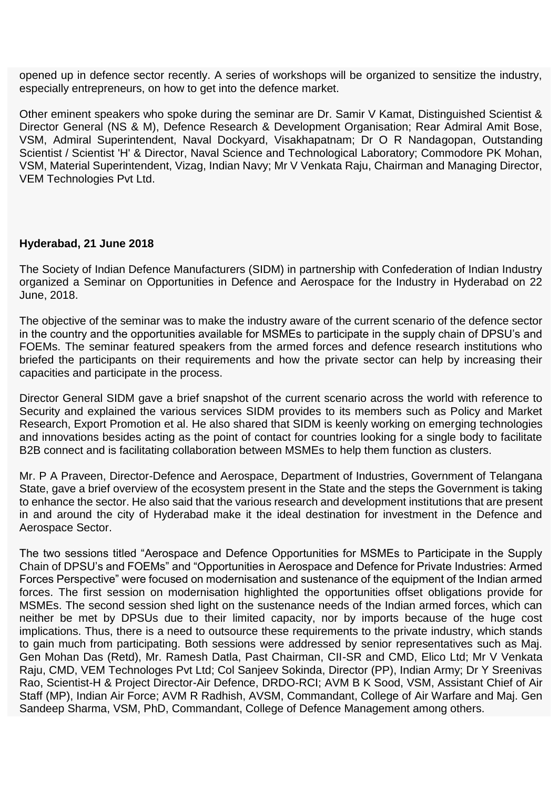opened up in defence sector recently. A series of workshops will be organized to sensitize the industry, especially entrepreneurs, on how to get into the defence market.

Other eminent speakers who spoke during the seminar are Dr. Samir V Kamat, Distinguished Scientist & Director General (NS & M), Defence Research & Development Organisation; Rear Admiral Amit Bose, VSM, Admiral Superintendent, Naval Dockyard, Visakhapatnam; Dr O R Nandagopan, Outstanding Scientist / Scientist 'H' & Director, Naval Science and Technological Laboratory; Commodore PK Mohan, VSM, Material Superintendent, Vizag, Indian Navy; Mr V Venkata Raju, Chairman and Managing Director, VEM Technologies Pvt Ltd.

### **Hyderabad, 21 June 2018**

The Society of Indian Defence Manufacturers (SIDM) in partnership with Confederation of Indian Industry organized a Seminar on Opportunities in Defence and Aerospace for the Industry in Hyderabad on 22 June, 2018.

The objective of the seminar was to make the industry aware of the current scenario of the defence sector in the country and the opportunities available for MSMEs to participate in the supply chain of DPSU's and FOEMs. The seminar featured speakers from the armed forces and defence research institutions who briefed the participants on their requirements and how the private sector can help by increasing their capacities and participate in the process.

Director General SIDM gave a brief snapshot of the current scenario across the world with reference to Security and explained the various services SIDM provides to its members such as Policy and Market Research, Export Promotion et al. He also shared that SIDM is keenly working on emerging technologies and innovations besides acting as the point of contact for countries looking for a single body to facilitate B2B connect and is facilitating collaboration between MSMEs to help them function as clusters.

Mr. P A Praveen, Director-Defence and Aerospace, Department of Industries, Government of Telangana State, gave a brief overview of the ecosystem present in the State and the steps the Government is taking to enhance the sector. He also said that the various research and development institutions that are present in and around the city of Hyderabad make it the ideal destination for investment in the Defence and Aerospace Sector.

The two sessions titled "Aerospace and Defence Opportunities for MSMEs to Participate in the Supply Chain of DPSU's and FOEMs" and "Opportunities in Aerospace and Defence for Private Industries: Armed Forces Perspective" were focused on modernisation and sustenance of the equipment of the Indian armed forces. The first session on modernisation highlighted the opportunities offset obligations provide for MSMEs. The second session shed light on the sustenance needs of the Indian armed forces, which can neither be met by DPSUs due to their limited capacity, nor by imports because of the huge cost implications. Thus, there is a need to outsource these requirements to the private industry, which stands to gain much from participating. Both sessions were addressed by senior representatives such as Maj. Gen Mohan Das (Retd), Mr. Ramesh Datla, Past Chairman, CII-SR and CMD, Elico Ltd; Mr V Venkata Raju, CMD, VEM Technologes Pvt Ltd; Col Sanjeev Sokinda, Director (PP), Indian Army; Dr Y Sreenivas Rao, Scientist-H & Project Director-Air Defence, DRDO-RCI; AVM B K Sood, VSM, Assistant Chief of Air Staff (MP), Indian Air Force; AVM R Radhish, AVSM, Commandant, College of Air Warfare and Maj. Gen Sandeep Sharma, VSM, PhD, Commandant, College of Defence Management among others.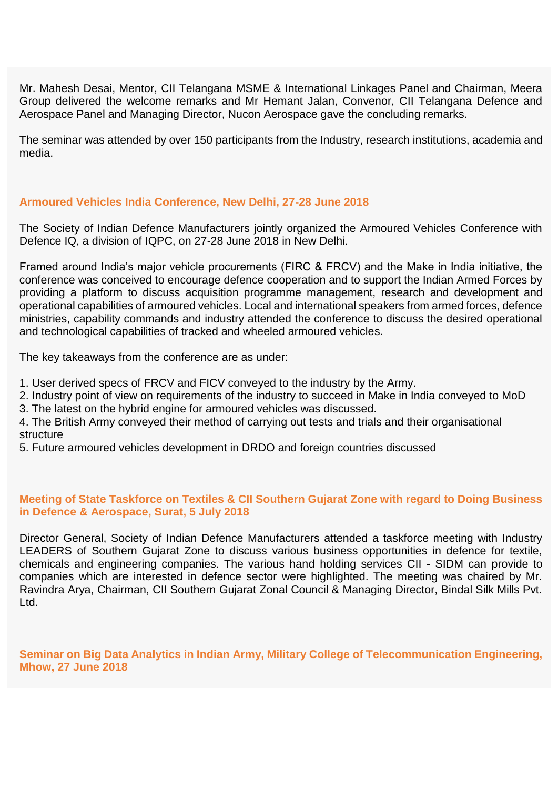Mr. Mahesh Desai, Mentor, CII Telangana MSME & International Linkages Panel and Chairman, Meera Group delivered the welcome remarks and Mr Hemant Jalan, Convenor, CII Telangana Defence and Aerospace Panel and Managing Director, Nucon Aerospace gave the concluding remarks.

The seminar was attended by over 150 participants from the Industry, research institutions, academia and media.

### **Armoured Vehicles India Conference, New Delhi, 27-28 June 2018**

The Society of Indian Defence Manufacturers jointly organized the Armoured Vehicles Conference with Defence IQ, a division of IQPC, on 27-28 June 2018 in New Delhi.

Framed around India's major vehicle procurements (FIRC & FRCV) and the Make in India initiative, the conference was conceived to encourage defence cooperation and to support the Indian Armed Forces by providing a platform to discuss acquisition programme management, research and development and operational capabilities of armoured vehicles. Local and international speakers from armed forces, defence ministries, capability commands and industry attended the conference to discuss the desired operational and technological capabilities of tracked and wheeled armoured vehicles.

The key takeaways from the conference are as under:

- 1. User derived specs of FRCV and FICV conveyed to the industry by the Army.
- 2. Industry point of view on requirements of the industry to succeed in Make in India conveyed to MoD
- 3. The latest on the hybrid engine for armoured vehicles was discussed.

4. The British Army conveyed their method of carrying out tests and trials and their organisational **structure** 

5. Future armoured vehicles development in DRDO and foreign countries discussed

### **Meeting of State Taskforce on Textiles & CII Southern Gujarat Zone with regard to Doing Business in Defence & Aerospace, Surat, 5 July 2018**

Director General, Society of Indian Defence Manufacturers attended a taskforce meeting with Industry LEADERS of Southern Gujarat Zone to discuss various business opportunities in defence for textile, chemicals and engineering companies. The various hand holding services CII - SIDM can provide to companies which are interested in defence sector were highlighted. The meeting was chaired by Mr. Ravindra Arya, Chairman, CII Southern Gujarat Zonal Council & Managing Director, Bindal Silk Mills Pvt. Ltd.

**Seminar on Big Data Analytics in Indian Army, Military College of Telecommunication Engineering, Mhow, 27 June 2018**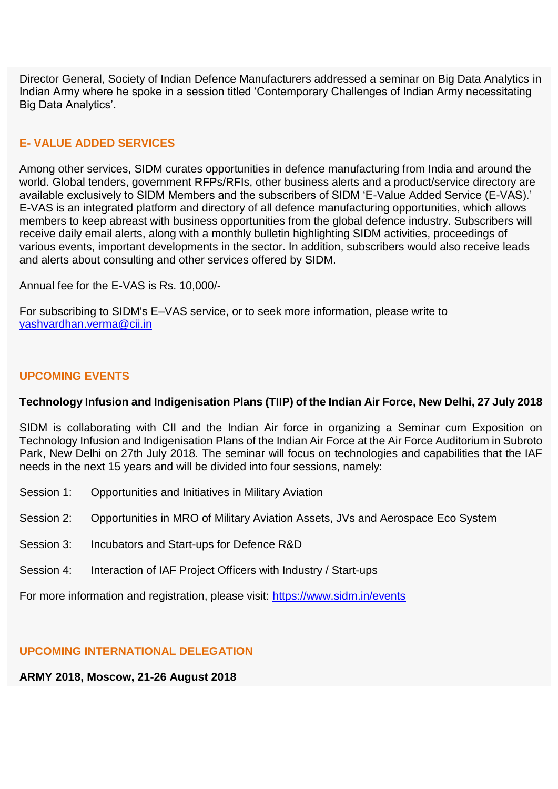Director General, Society of Indian Defence Manufacturers addressed a seminar on Big Data Analytics in Indian Army where he spoke in a session titled 'Contemporary Challenges of Indian Army necessitating Big Data Analytics'.

# **E- VALUE ADDED SERVICES**

Among other services, SIDM curates opportunities in defence manufacturing from India and around the world. Global tenders, government RFPs/RFIs, other business alerts and a product/service directory are available exclusively to SIDM Members and the subscribers of SIDM 'E-Value Added Service (E-VAS).' E-VAS is an integrated platform and directory of all defence manufacturing opportunities, which allows members to keep abreast with business opportunities from the global defence industry. Subscribers will receive daily email alerts, along with a monthly bulletin highlighting SIDM activities, proceedings of various events, important developments in the sector. In addition, subscribers would also receive leads and alerts about consulting and other services offered by SIDM.

Annual fee for the E-VAS is Rs. 10,000/-

For subscribing to SIDM's E–VAS service, or to seek more information, please write to [yashvardhan.verma@cii.in](mailto:yashvardhan.verma@cii.in)

## **UPCOMING EVENTS**

## **Technology Infusion and Indigenisation Plans (TIIP) of the Indian Air Force, New Delhi, 27 July 2018**

SIDM is collaborating with CII and the Indian Air force in organizing a Seminar cum Exposition on Technology Infusion and Indigenisation Plans of the Indian Air Force at the Air Force Auditorium in Subroto Park, New Delhi on 27th July 2018. The seminar will focus on technologies and capabilities that the IAF needs in the next 15 years and will be divided into four sessions, namely:

- Session 1: Opportunities and Initiatives in Military Aviation
- Session 2: Opportunities in MRO of Military Aviation Assets, JVs and Aerospace Eco System
- Session 3: Incubators and Start-ups for Defence R&D
- Session 4: Interaction of IAF Project Officers with Industry / Start-ups

For more information and registration, please visit: [https://www.sidm.in/events](https://apac01.safelinks.protection.outlook.com/?url=http%3A%2F%2Femaila.ciimails.in%2Fciis%2Fltimdt.php%3Fid%3DLR5UUgZSDggIVEpVAAELVBg%3DUFENU1APCklVGV9ZXhF0BgsNTF8P&data=02%7C01%7C%7Cae01e7cbb4a64910379208d5ee22b89a%7Ce749ab1b73da4549a0cf1abb0ffbb817%7C0%7C0%7C636676755260136510&sdata=zO1Pqrx2aNG%2F2QVPvBaDuQmeDZsJ8s4BDJK8anMbDu0%3D&reserved=0)

## **UPCOMING INTERNATIONAL DELEGATION**

# **ARMY 2018, Moscow, 21-26 August 2018**